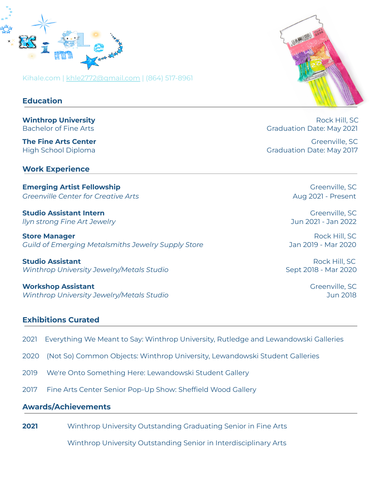

Kihale.com | [khle2772@gmail.com](mailto:khle2772@gmail.com) | (864) 517-8961

## **Education**

## **Work Experience**

**Emerging Artist Fellowship** Greenville, SC Greenville, SC *Greenville Center for Creative Arts* Aug 2021 - Present

**Studio Assistant Intern** Greenville, SC *llyn strong Fine Art Jewelry* Jun 2021 - Jan 2022

**Store Manager** Rock Hill, SC *Guild of Emerging Metalsmiths Jewelry Supply Store* Jan 2019 - Mar 2020

**Studio Assistant** Rock Hill, SC *Winthrop University Jewelry/Metals Studio* Sept 2018 - Mar 2020

**Workshop Assistant** Greenville, SC *Winthrop University Jewelry/Metals Studio* Jun 2018

## **Exhibitions Curated**

- 2021 Everything We Meant to Say: Winthrop University, Rutledge and Lewandowski Galleries
- 2020 (Not So) Common Objects: Winthrop University, Lewandowski Student Galleries
- 2019 We're Onto Something Here: Lewandowski Student Gallery
- 2017 Fine Arts Center Senior Pop-Up Show: Sheffield Wood Gallery

## **Awards/Achievements**

**2021** Winthrop University Outstanding Graduating Senior in Fine Arts

Winthrop University Outstanding Senior in Interdisciplinary Arts



**Winthrop University Rock Hill, SC Rock Hill, SC** Bachelor of Fine Arts **Graduation Date: May 2021** 

**The Fine Arts Center** Greenville, SC and The **Fine Arts Center** Greenville, SC and The **Greenville, SC** and The **Greenville** High School Diploma Graduation Date: May 2017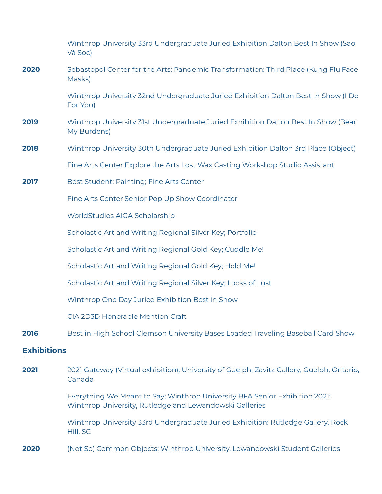|                    | Winthrop University 33rd Undergraduate Juried Exhibition Dalton Best In Show (Sao<br>Và Soc)                                           |
|--------------------|----------------------------------------------------------------------------------------------------------------------------------------|
| 2020               | Sebastopol Center for the Arts: Pandemic Transformation: Third Place (Kung Flu Face<br>Masks)                                          |
|                    | Winthrop University 32nd Undergraduate Juried Exhibition Dalton Best In Show (I Do<br>For You)                                         |
| 2019               | Winthrop University 31st Undergraduate Juried Exhibition Dalton Best In Show (Bear<br>My Burdens)                                      |
| 2018               | Winthrop University 30th Undergraduate Juried Exhibition Dalton 3rd Place (Object)                                                     |
|                    | Fine Arts Center Explore the Arts Lost Wax Casting Workshop Studio Assistant                                                           |
| 2017               | Best Student: Painting; Fine Arts Center                                                                                               |
|                    | Fine Arts Center Senior Pop Up Show Coordinator                                                                                        |
|                    | WorldStudios AIGA Scholarship                                                                                                          |
|                    | Scholastic Art and Writing Regional Silver Key; Portfolio                                                                              |
|                    | Scholastic Art and Writing Regional Gold Key; Cuddle Me!                                                                               |
|                    | Scholastic Art and Writing Regional Gold Key; Hold Me!                                                                                 |
|                    | Scholastic Art and Writing Regional Silver Key; Locks of Lust                                                                          |
|                    | Winthrop One Day Juried Exhibition Best in Show                                                                                        |
|                    | CIA 2D3D Honorable Mention Craft                                                                                                       |
| 2016               | Best in High School Clemson University Bases Loaded Traveling Baseball Card Show                                                       |
| <b>Exhibitions</b> |                                                                                                                                        |
| 2021               | 2021 Gateway (Virtual exhibition); University of Guelph, Zavitz Gallery, Guelph, Ontario,<br>Canada                                    |
|                    | Everything We Meant to Say; Winthrop University BFA Senior Exhibition 2021:<br>Winthrop University, Rutledge and Lewandowski Galleries |
|                    | Winthrop University 33rd Undergraduate Juried Exhibition: Rutledge Gallery, Rock<br>Hill, SC                                           |
| 2020               | (Not So) Common Objects: Winthrop University, Lewandowski Student Galleries                                                            |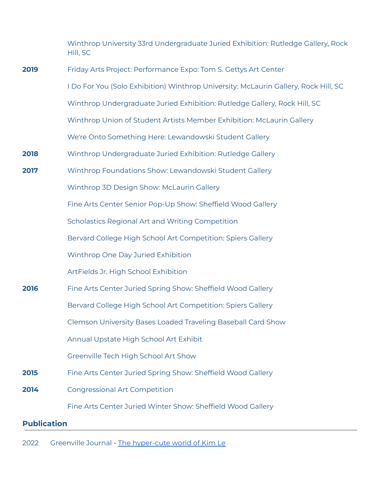|                    | Winthrop University 33rd Undergraduate Juried Exhibition: Rutledge Gallery, Rock<br>Hill, SC |
|--------------------|----------------------------------------------------------------------------------------------|
| 2019               | Friday Arts Project: Performance Expo: Tom S. Gettys Art Center                              |
|                    | I Do For You (Solo Exhibition) Winthrop University: McLaurin Gallery, Rock Hill, SC          |
|                    | Winthrop Undergraduate Juried Exhibition: Rutledge Gallery, Rock Hill, SC                    |
|                    | Winthrop Union of Student Artists Member Exhibition: McLaurin Gallery                        |
|                    | We're Onto Something Here: Lewandowski Student Gallery                                       |
| 2018               | Winthrop Undergraduate Juried Exhibition: Rutledge Gallery                                   |
| 2017               | Winthrop Foundations Show: Lewandowski Student Gallery                                       |
|                    | Winthrop 3D Design Show: McLaurin Gallery                                                    |
|                    | Fine Arts Center Senior Pop-Up Show: Sheffield Wood Gallery                                  |
|                    | Scholastics Regional Art and Writing Competition                                             |
|                    | Bervard College High School Art Competition: Spiers Gallery                                  |
|                    | Winthrop One Day Juried Exhibition                                                           |
|                    | ArtFields Jr. High School Exhibition                                                         |
| 2016               | Fine Arts Center Juried Spring Show: Sheffield Wood Gallery                                  |
|                    | Bervard College High School Art Competition: Spiers Gallery                                  |
|                    | Clemson University Bases Loaded Traveling Baseball Card Show                                 |
|                    | Annual Upstate High School Art Exhibit                                                       |
|                    | Greenville Tech High School Art Show                                                         |
| 2015               | Fine Arts Center Juried Spring Show: Sheffield Wood Gallery                                  |
| 2014               | <b>Congressional Art Competition</b>                                                         |
|                    | Fine Arts Center Juried Winter Show: Sheffield Wood Gallery                                  |
| <b>Publication</b> |                                                                                              |

2022 Greenville Journal - The [hyper-cute](https://greenvillejournal.com/arts-culture/the-hyper-cute-world-of-brandon-fellows-kim-le/) world of Kim Le